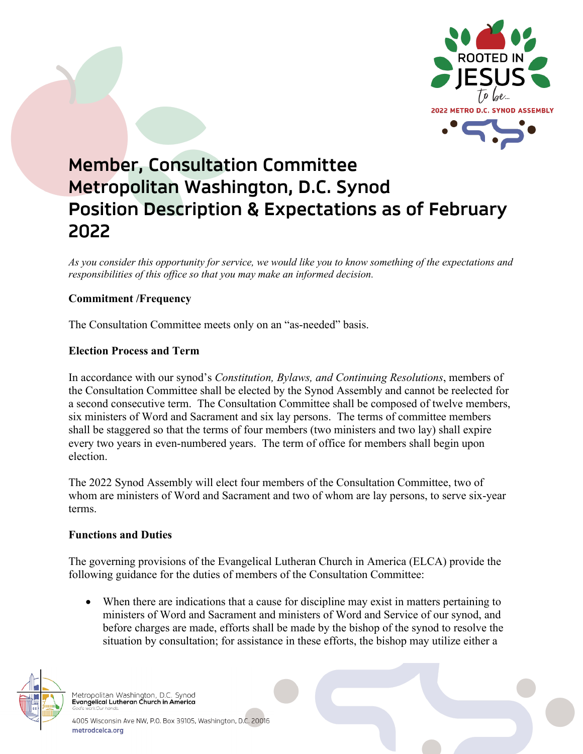

# **Member, Consultation Committee Metropolitan Washington, D.C. Synod Position Description & Expectations as of February 2022**

*As you consider this opportunity for service, we would like you to know something of the expectations and responsibilities of this office so that you may make an informed decision.* 

## **Commitment /Frequency**

The Consultation Committee meets only on an "as-needed" basis.

## **Election Process and Term**

In accordance with our synod's *Constitution, Bylaws, and Continuing Resolutions*, members of the Consultation Committee shall be elected by the Synod Assembly and cannot be reelected for a second consecutive term. The Consultation Committee shall be composed of twelve members, six ministers of Word and Sacrament and six lay persons. The terms of committee members shall be staggered so that the terms of four members (two ministers and two lay) shall expire every two years in even-numbered years. The term of office for members shall begin upon election.

The 2022 Synod Assembly will elect four members of the Consultation Committee, two of whom are ministers of Word and Sacrament and two of whom are lay persons, to serve six-year terms.

### **Functions and Duties**

The governing provisions of the Evangelical Lutheran Church in America (ELCA) provide the following guidance for the duties of members of the Consultation Committee:

• When there are indications that a cause for discipline may exist in matters pertaining to ministers of Word and Sacrament and ministers of Word and Service of our synod, and before charges are made, efforts shall be made by the bishop of the synod to resolve the situation by consultation; for assistance in these efforts, the bishop may utilize either a



Metropolitan Washington, D.C. Synod<br>Evangelical Lutheran Church in America

4005 Wisconsin Ave NW, P.O. Box 39105, Washington, D.C. 20016 metrodcelca.org